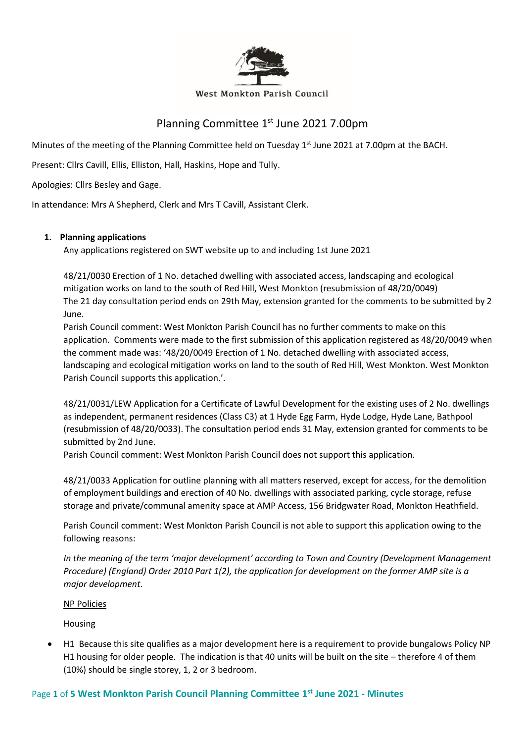

#### West Monkton Parish Council

# Planning Committee 1<sup>st</sup> June 2021 7.00pm

Minutes of the meeting of the Planning Committee held on Tuesday 1<sup>st</sup> June 2021 at 7.00pm at the BACH.

Present: Cllrs Cavill, Ellis, Elliston, Hall, Haskins, Hope and Tully.

Apologies: Cllrs Besley and Gage.

In attendance: Mrs A Shepherd, Clerk and Mrs T Cavill, Assistant Clerk.

## **1. Planning applications**

Any applications registered on SWT website up to and including 1st June 2021

48/21/0030 Erection of 1 No. detached dwelling with associated access, landscaping and ecological mitigation works on land to the south of Red Hill, West Monkton (resubmission of 48/20/0049) The 21 day consultation period ends on 29th May, extension granted for the comments to be submitted by 2 June.

Parish Council comment: West Monkton Parish Council has no further comments to make on this application. Comments were made to the first submission of this application registered as 48/20/0049 when the comment made was: '48/20/0049 Erection of 1 No. detached dwelling with associated access, landscaping and ecological mitigation works on land to the south of Red Hill, West Monkton. West Monkton Parish Council supports this application.'.

48/21/0031/LEW Application for a Certificate of Lawful Development for the existing uses of 2 No. dwellings as independent, permanent residences (Class C3) at 1 Hyde Egg Farm, Hyde Lodge, Hyde Lane, Bathpool (resubmission of 48/20/0033). The consultation period ends 31 May, extension granted for comments to be submitted by 2nd June.

Parish Council comment: West Monkton Parish Council does not support this application.

48/21/0033 Application for outline planning with all matters reserved, except for access, for the demolition of employment buildings and erection of 40 No. dwellings with associated parking, cycle storage, refuse storage and private/communal amenity space at AMP Access, 156 Bridgwater Road, Monkton Heathfield.

Parish Council comment: West Monkton Parish Council is not able to support this application owing to the following reasons:

*In the meaning of the term 'major development' according to Town and Country (Development Management Procedure) (England) Order 2010 Part 1(2), the application for development on the former AMP site is a major development*.

### NP Policies

Housing

• H1 Because this site qualifies as a major development here is a requirement to provide bungalows Policy NP H1 housing for older people. The indication is that 40 units will be built on the site – therefore 4 of them (10%) should be single storey, 1, 2 or 3 bedroom.

## Page **1** of **5 West Monkton Parish Council Planning Committee 1 st June 2021 - Minutes**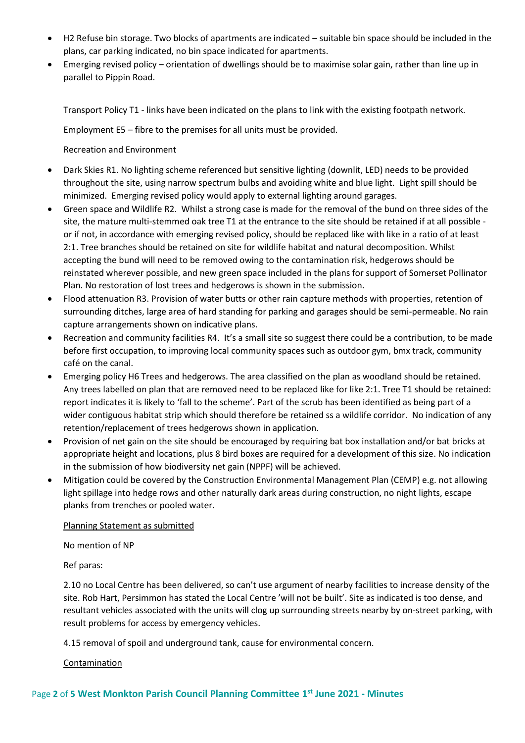- H2 Refuse bin storage. Two blocks of apartments are indicated suitable bin space should be included in the plans, car parking indicated, no bin space indicated for apartments.
- Emerging revised policy orientation of dwellings should be to maximise solar gain, rather than line up in parallel to Pippin Road.

Transport Policy T1 - links have been indicated on the plans to link with the existing footpath network.

Employment E5 – fibre to the premises for all units must be provided.

Recreation and Environment

- Dark Skies R1. No lighting scheme referenced but sensitive lighting (downlit, LED) needs to be provided throughout the site, using narrow spectrum bulbs and avoiding white and blue light. Light spill should be minimized. Emerging revised policy would apply to external lighting around garages.
- Green space and Wildlife R2. Whilst a strong case is made for the removal of the bund on three sides of the site, the mature multi-stemmed oak tree T1 at the entrance to the site should be retained if at all possible or if not, in accordance with emerging revised policy, should be replaced like with like in a ratio of at least 2:1. Tree branches should be retained on site for wildlife habitat and natural decomposition. Whilst accepting the bund will need to be removed owing to the contamination risk, hedgerows should be reinstated wherever possible, and new green space included in the plans for support of Somerset Pollinator Plan. No restoration of lost trees and hedgerows is shown in the submission.
- Flood attenuation R3. Provision of water butts or other rain capture methods with properties, retention of surrounding ditches, large area of hard standing for parking and garages should be semi-permeable. No rain capture arrangements shown on indicative plans.
- Recreation and community facilities R4. It's a small site so suggest there could be a contribution, to be made before first occupation, to improving local community spaces such as outdoor gym, bmx track, community café on the canal.
- Emerging policy H6 Trees and hedgerows. The area classified on the plan as woodland should be retained. Any trees labelled on plan that are removed need to be replaced like for like 2:1. Tree T1 should be retained: report indicates it is likely to 'fall to the scheme'. Part of the scrub has been identified as being part of a wider contiguous habitat strip which should therefore be retained ss a wildlife corridor. No indication of any retention/replacement of trees hedgerows shown in application.
- Provision of net gain on the site should be encouraged by requiring bat box installation and/or bat bricks at appropriate height and locations, plus 8 bird boxes are required for a development of this size. No indication in the submission of how biodiversity net gain (NPPF) will be achieved.
- Mitigation could be covered by the Construction Environmental Management Plan (CEMP) e.g. not allowing light spillage into hedge rows and other naturally dark areas during construction, no night lights, escape planks from trenches or pooled water.

Planning Statement as submitted

No mention of NP

Ref paras:

2.10 no Local Centre has been delivered, so can't use argument of nearby facilities to increase density of the site. Rob Hart, Persimmon has stated the Local Centre 'will not be built'. Site as indicated is too dense, and resultant vehicles associated with the units will clog up surrounding streets nearby by on-street parking, with result problems for access by emergency vehicles.

4.15 removal of spoil and underground tank, cause for environmental concern.

Contamination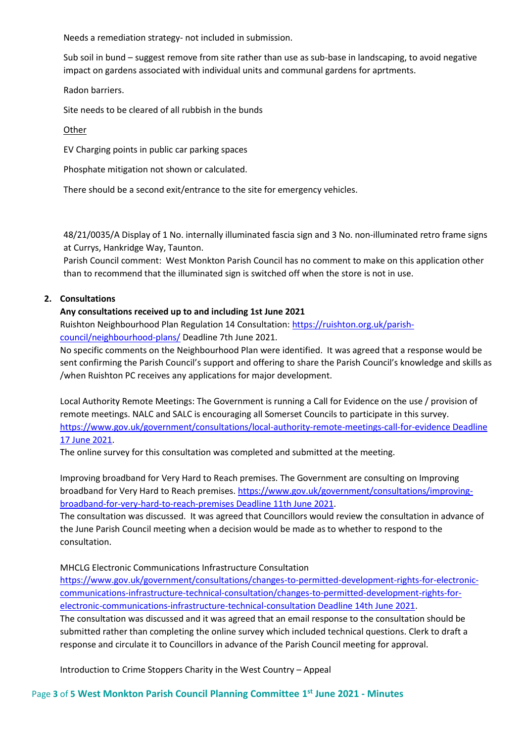Needs a remediation strategy- not included in submission.

Sub soil in bund – suggest remove from site rather than use as sub-base in landscaping, to avoid negative impact on gardens associated with individual units and communal gardens for aprtments.

Radon barriers.

Site needs to be cleared of all rubbish in the bunds

**Other** 

EV Charging points in public car parking spaces

Phosphate mitigation not shown or calculated.

There should be a second exit/entrance to the site for emergency vehicles.

48/21/0035/A Display of 1 No. internally illuminated fascia sign and 3 No. non-illuminated retro frame signs at Currys, Hankridge Way, Taunton.

Parish Council comment: West Monkton Parish Council has no comment to make on this application other than to recommend that the illuminated sign is switched off when the store is not in use.

## **2. Consultations**

## **Any consultations received up to and including 1st June 2021**

Ruishton Neighbourhood Plan Regulation 14 Consultation: [https://ruishton.org.uk/parish](https://ruishton.org.uk/parish-council/neighbourhood-plans/)[council/neighbourhood-plans/](https://ruishton.org.uk/parish-council/neighbourhood-plans/) Deadline 7th June 2021.

No specific comments on the Neighbourhood Plan were identified. It was agreed that a response would be sent confirming the Parish Council's support and offering to share the Parish Council's knowledge and skills as /when Ruishton PC receives any applications for major development.

Local Authority Remote Meetings: The Government is running a Call for Evidence on the use / provision of remote meetings. NALC and SALC is encouraging all Somerset Councils to participate in this survey. [https://www.gov.uk/government/consultations/local-authority-remote-meetings-call-for-evidence Deadline](https://www.gov.uk/government/consultations/local-authority-remote-meetings-call-for-evidence%20Deadline%2017%20June%202021)  [17 June 2021.](https://www.gov.uk/government/consultations/local-authority-remote-meetings-call-for-evidence%20Deadline%2017%20June%202021)

The online survey for this consultation was completed and submitted at the meeting.

Improving broadband for Very Hard to Reach premises. The Government are consulting on Improving broadband for Very Hard to Reach premises. [https://www.gov.uk/government/consultations/improving](https://www.gov.uk/government/consultations/improving-broadband-for-very-hard-to-reach-premises%20Deadline%2011th%20June%202021)[broadband-for-very-hard-to-reach-premises Deadline 11th June 2021.](https://www.gov.uk/government/consultations/improving-broadband-for-very-hard-to-reach-premises%20Deadline%2011th%20June%202021)

The consultation was discussed. It was agreed that Councillors would review the consultation in advance of the June Parish Council meeting when a decision would be made as to whether to respond to the consultation.

MHCLG Electronic Communications Infrastructure Consultation

[https://www.gov.uk/government/consultations/changes-to-permitted-development-rights-for-electronic](https://www.gov.uk/government/consultations/changes-to-permitted-development-rights-for-electronic-communications-infrastructure-technical-consultation/changes-to-permitted-development-rights-for-electronic-communications-infrastructure-technical-consultation%20Deadline%2014th%20June%202021)[communications-infrastructure-technical-consultation/changes-to-permitted-development-rights-for](https://www.gov.uk/government/consultations/changes-to-permitted-development-rights-for-electronic-communications-infrastructure-technical-consultation/changes-to-permitted-development-rights-for-electronic-communications-infrastructure-technical-consultation%20Deadline%2014th%20June%202021)[electronic-communications-infrastructure-technical-consultation Deadline 14th June 2021.](https://www.gov.uk/government/consultations/changes-to-permitted-development-rights-for-electronic-communications-infrastructure-technical-consultation/changes-to-permitted-development-rights-for-electronic-communications-infrastructure-technical-consultation%20Deadline%2014th%20June%202021) The consultation was discussed and it was agreed that an email response to the consultation should be submitted rather than completing the online survey which included technical questions. Clerk to draft a response and circulate it to Councillors in advance of the Parish Council meeting for approval.

Introduction to Crime Stoppers Charity in the West Country – Appeal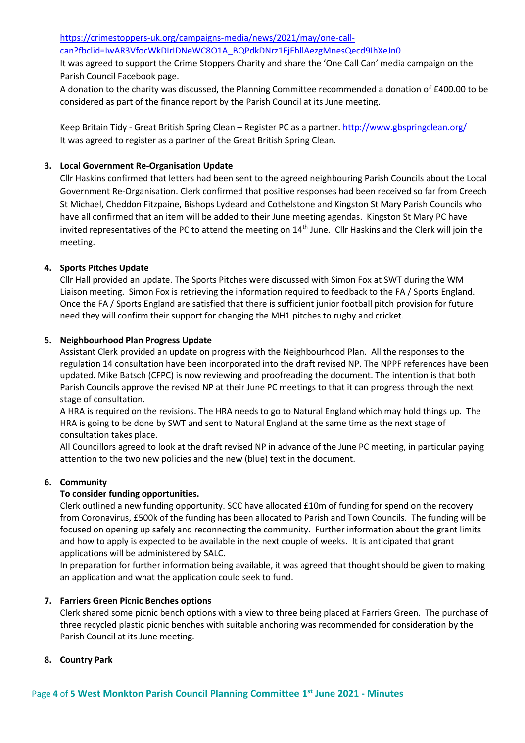[https://crimestoppers-uk.org/campaigns-media/news/2021/may/one-call](https://crimestoppers-uk.org/campaigns-media/news/2021/may/one-call-can?fbclid=IwAR3VfocWkDIrIDNeWC8O1A_BQPdkDNrz1FjFhllAezgMnesQecd9IhXeJn0)[can?fbclid=IwAR3VfocWkDIrIDNeWC8O1A\\_BQPdkDNrz1FjFhllAezgMnesQecd9IhXeJn0](https://crimestoppers-uk.org/campaigns-media/news/2021/may/one-call-can?fbclid=IwAR3VfocWkDIrIDNeWC8O1A_BQPdkDNrz1FjFhllAezgMnesQecd9IhXeJn0)

It was agreed to support the Crime Stoppers Charity and share the 'One Call Can' media campaign on the Parish Council Facebook page.

A donation to the charity was discussed, the Planning Committee recommended a donation of £400.00 to be considered as part of the finance report by the Parish Council at its June meeting.

Keep Britain Tidy - Great British Spring Clean – Register PC as a partner. <http://www.gbspringclean.org/> It was agreed to register as a partner of the Great British Spring Clean.

## **3. Local Government Re-Organisation Update**

Cllr Haskins confirmed that letters had been sent to the agreed neighbouring Parish Councils about the Local Government Re-Organisation. Clerk confirmed that positive responses had been received so far from Creech St Michael, Cheddon Fitzpaine, Bishops Lydeard and Cothelstone and Kingston St Mary Parish Councils who have all confirmed that an item will be added to their June meeting agendas. Kingston St Mary PC have invited representatives of the PC to attend the meeting on 14<sup>th</sup> June. Cllr Haskins and the Clerk will join the meeting.

## **4. Sports Pitches Update**

Cllr Hall provided an update. The Sports Pitches were discussed with Simon Fox at SWT during the WM Liaison meeting. Simon Fox is retrieving the information required to feedback to the FA / Sports England. Once the FA / Sports England are satisfied that there is sufficient junior football pitch provision for future need they will confirm their support for changing the MH1 pitches to rugby and cricket.

### **5. Neighbourhood Plan Progress Update**

Assistant Clerk provided an update on progress with the Neighbourhood Plan. All the responses to the regulation 14 consultation have been incorporated into the draft revised NP. The NPPF references have been updated. Mike Batsch (CFPC) is now reviewing and proofreading the document. The intention is that both Parish Councils approve the revised NP at their June PC meetings to that it can progress through the next stage of consultation.

A HRA is required on the revisions. The HRA needs to go to Natural England which may hold things up. The HRA is going to be done by SWT and sent to Natural England at the same time as the next stage of consultation takes place.

All Councillors agreed to look at the draft revised NP in advance of the June PC meeting, in particular paying attention to the two new policies and the new (blue) text in the document.

### **6. Community**

### **To consider funding opportunities.**

Clerk outlined a new funding opportunity. SCC have allocated £10m of funding for spend on the recovery from Coronavirus, £500k of the funding has been allocated to Parish and Town Councils. The funding will be focused on opening up safely and reconnecting the community. Further information about the grant limits and how to apply is expected to be available in the next couple of weeks. It is anticipated that grant applications will be administered by SALC.

In preparation for further information being available, it was agreed that thought should be given to making an application and what the application could seek to fund.

### **7. Farriers Green Picnic Benches options**

Clerk shared some picnic bench options with a view to three being placed at Farriers Green. The purchase of three recycled plastic picnic benches with suitable anchoring was recommended for consideration by the Parish Council at its June meeting.

### **8. Country Park**